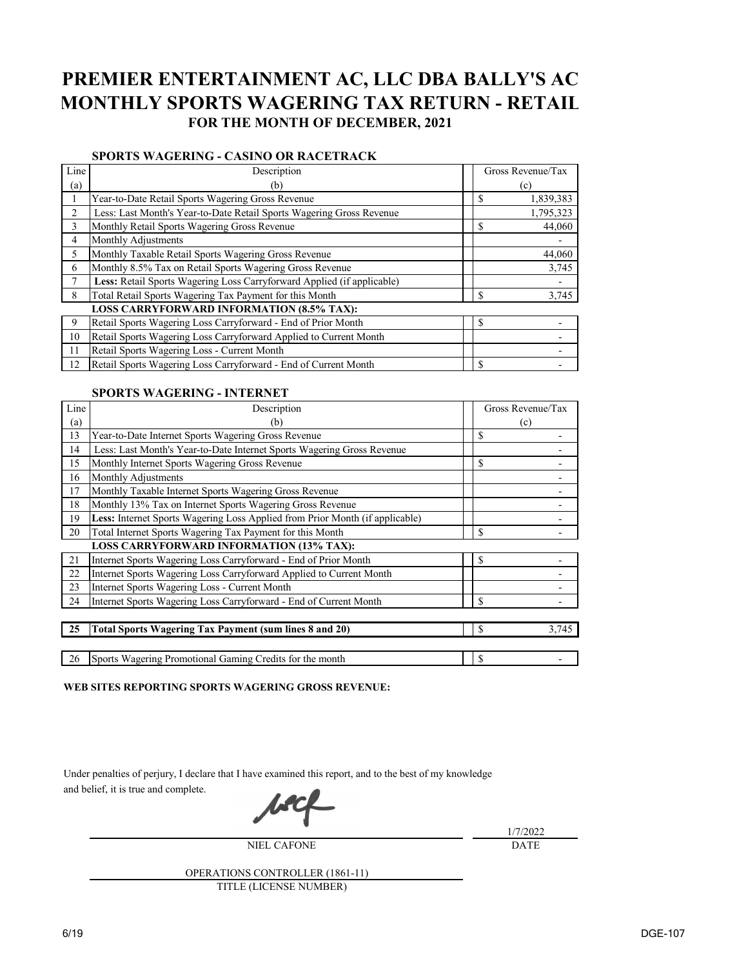# **PREMIER ENTERTAINMENT AC, LLC DBA BALLY'S AC MONTHLY SPORTS WAGERING TAX RETURN - RETAIL FOR THE MONTH OF DECEMBER, 2021**

## **SPORTS WAGERING - CASINO OR RACETRACK**

| Line           | Description                                                            | Gross Revenue/Tax       |  |
|----------------|------------------------------------------------------------------------|-------------------------|--|
| (a)            | (b)                                                                    | (c)                     |  |
|                | Year-to-Date Retail Sports Wagering Gross Revenue                      | \$<br>1,839,383         |  |
| 2              | Less: Last Month's Year-to-Date Retail Sports Wagering Gross Revenue   | 1,795,323               |  |
| $\overline{3}$ | Monthly Retail Sports Wagering Gross Revenue                           | $\mathcal{S}$<br>44,060 |  |
| $\overline{4}$ | Monthly Adjustments                                                    |                         |  |
| 5              | Monthly Taxable Retail Sports Wagering Gross Revenue                   | 44,060                  |  |
| 6              | Monthly 8.5% Tax on Retail Sports Wagering Gross Revenue               | 3,745                   |  |
|                | Less: Retail Sports Wagering Loss Carryforward Applied (if applicable) |                         |  |
| 8              | Total Retail Sports Wagering Tax Payment for this Month                | \$<br>3,745             |  |
|                | <b>LOSS CARRYFORWARD INFORMATION (8.5% TAX):</b>                       |                         |  |
| 9              | Retail Sports Wagering Loss Carryforward - End of Prior Month          | \$                      |  |
| 10             | Retail Sports Wagering Loss Carryforward Applied to Current Month      |                         |  |
| 11             | Retail Sports Wagering Loss - Current Month                            |                         |  |
| 12             | Retail Sports Wagering Loss Carryforward - End of Current Month        | \$                      |  |

## **SPORTS WAGERING - INTERNET**

| Line | Description                                                                  | Gross Revenue/Tax     |
|------|------------------------------------------------------------------------------|-----------------------|
| (a)  | (b)                                                                          | (c)                   |
| 13   | Year-to-Date Internet Sports Wagering Gross Revenue                          | $\mathbb{S}$          |
| 14   | Less: Last Month's Year-to-Date Internet Sports Wagering Gross Revenue       |                       |
| 15   | Monthly Internet Sports Wagering Gross Revenue                               | \$                    |
| 16   | Monthly Adjustments                                                          |                       |
| 17   | Monthly Taxable Internet Sports Wagering Gross Revenue                       |                       |
| 18   | Monthly 13% Tax on Internet Sports Wagering Gross Revenue                    |                       |
| 19   | Less: Internet Sports Wagering Loss Applied from Prior Month (if applicable) |                       |
| 20   | Total Internet Sports Wagering Tax Payment for this Month                    | $\mathcal{S}$         |
|      | <b>LOSS CARRYFORWARD INFORMATION (13% TAX):</b>                              |                       |
| 21   | Internet Sports Wagering Loss Carryforward - End of Prior Month              | \$                    |
| 22   | Internet Sports Wagering Loss Carryforward Applied to Current Month          |                       |
| 23   | Internet Sports Wagering Loss - Current Month                                |                       |
| 24   | Internet Sports Wagering Loss Carryforward - End of Current Month            | $\mathbb{S}$          |
|      |                                                                              |                       |
| 25   | <b>Total Sports Wagering Tax Payment (sum lines 8 and 20)</b>                | $\mathbb{S}$<br>3,745 |
|      |                                                                              |                       |
| 26   | Sports Wagering Promotional Gaming Credits for the month                     | <sup>\$</sup>         |

### **WEB SITES REPORTING SPORTS WAGERING GROSS REVENUE:**

Under penalties of perjury, I declare that I have examined this report, and to the best of my knowledge and belief, it is true and complete. **I.ACL** 

|                                        | 1/7/2022    |
|----------------------------------------|-------------|
| <b>NIEL CAFONE</b>                     | <b>DATE</b> |
| <b>OPERATIONS CONTROLLER (1861-11)</b> |             |
| TITLE (LICENSE NUMBER)                 |             |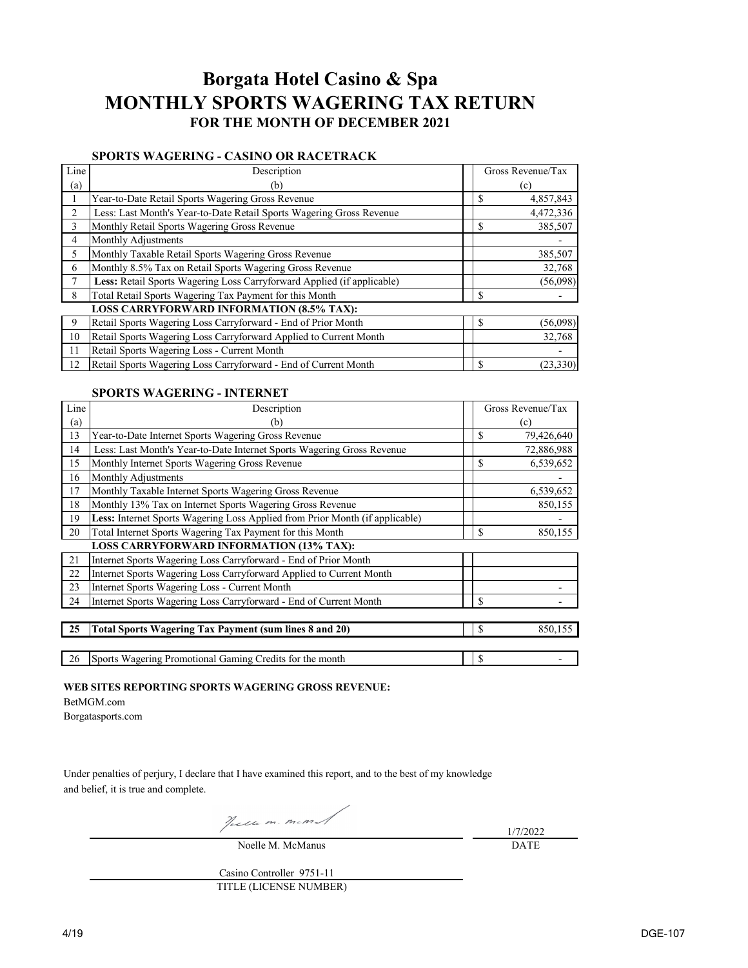## **Borgata Hotel Casino & Spa MONTHLY SPORTS WAGERING TAX RETURN FOR THE MONTH OF DECEMBER 2021**

## **SPORTS WAGERING - CASINO OR RACETRACK**

| Line | Description                                                            | Gross Revenue/Tax |           |  |
|------|------------------------------------------------------------------------|-------------------|-----------|--|
| (a)  | (b)                                                                    |                   | (c)       |  |
|      | Year-to-Date Retail Sports Wagering Gross Revenue                      | \$                | 4,857,843 |  |
| 2    | Less: Last Month's Year-to-Date Retail Sports Wagering Gross Revenue   |                   | 4,472,336 |  |
| 3    | Monthly Retail Sports Wagering Gross Revenue                           | \$                | 385,507   |  |
| 4    | Monthly Adjustments                                                    |                   |           |  |
| 5    | Monthly Taxable Retail Sports Wagering Gross Revenue                   |                   | 385,507   |  |
| 6    | Monthly 8.5% Tax on Retail Sports Wagering Gross Revenue               |                   | 32,768    |  |
| 7    | Less: Retail Sports Wagering Loss Carryforward Applied (if applicable) |                   | (56,098)  |  |
| 8    | Total Retail Sports Wagering Tax Payment for this Month                | \$                |           |  |
|      | <b>LOSS CARRYFORWARD INFORMATION (8.5% TAX):</b>                       |                   |           |  |
| 9    | Retail Sports Wagering Loss Carryforward - End of Prior Month          | \$                | (56,098)  |  |
| 10   | Retail Sports Wagering Loss Carryforward Applied to Current Month      |                   | 32,768    |  |
| 11   | Retail Sports Wagering Loss - Current Month                            |                   |           |  |
| 12   | Retail Sports Wagering Loss Carryforward - End of Current Month        | \$                | (23, 330) |  |

### **SPORTS WAGERING - INTERNET**

| Line | Description                                                                  |               | Gross Revenue/Tax |
|------|------------------------------------------------------------------------------|---------------|-------------------|
| (a)  | (b)                                                                          |               | (c)               |
| 13   | Year-to-Date Internet Sports Wagering Gross Revenue                          | \$            | 79,426,640        |
| 14   | Less: Last Month's Year-to-Date Internet Sports Wagering Gross Revenue       |               | 72,886,988        |
| 15   | Monthly Internet Sports Wagering Gross Revenue                               | \$            | 6,539,652         |
| 16   | Monthly Adjustments                                                          |               |                   |
| 17   | Monthly Taxable Internet Sports Wagering Gross Revenue                       |               | 6,539,652         |
| 18   | Monthly 13% Tax on Internet Sports Wagering Gross Revenue                    |               | 850,155           |
| 19   | Less: Internet Sports Wagering Loss Applied from Prior Month (if applicable) |               |                   |
| 20   | Total Internet Sports Wagering Tax Payment for this Month                    | \$            | 850,155           |
|      | <b>LOSS CARRYFORWARD INFORMATION (13% TAX):</b>                              |               |                   |
| 21   | Internet Sports Wagering Loss Carryforward - End of Prior Month              |               |                   |
| 22   | Internet Sports Wagering Loss Carryforward Applied to Current Month          |               |                   |
| 23   | Internet Sports Wagering Loss - Current Month                                |               |                   |
| 24   | Internet Sports Wagering Loss Carryforward - End of Current Month            | \$            |                   |
|      |                                                                              |               |                   |
| 25   | <b>Total Sports Wagering Tax Payment (sum lines 8 and 20)</b>                | $\mathcal{S}$ | 850,155           |
|      |                                                                              |               |                   |
| 26   | Sports Wagering Promotional Gaming Credits for the month                     | $\mathbb{S}$  |                   |

**WEB SITES REPORTING SPORTS WAGERING GROSS REVENUE:**

#### BetMGM.com

Borgatasports.com

Under penalties of perjury, I declare that I have examined this report, and to the best of my knowledge and belief, it is true and complete.

Volle m. Mcm.

Noelle M. McManus

1/7/2022 DATE

| Casino Controller 9751-11 |
|---------------------------|
| TITLE (LICENSE NUMBER)    |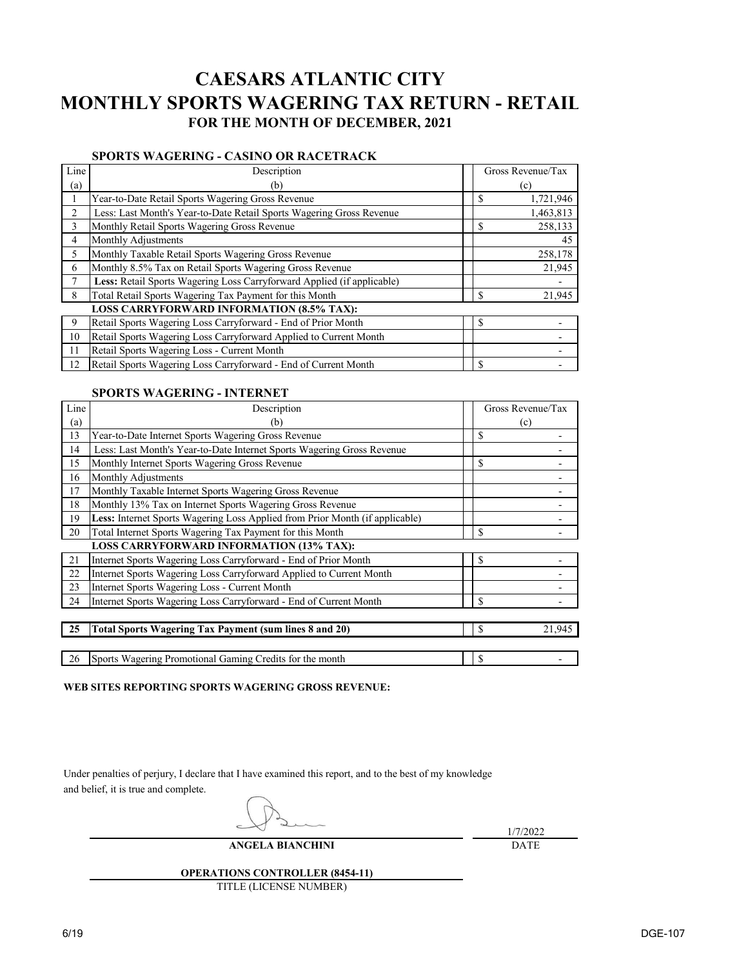# **CAESARS ATLANTIC CITY MONTHLY SPORTS WAGERING TAX RETURN - RETAIL FOR THE MONTH OF DECEMBER, 2021**

## **SPORTS WAGERING - CASINO OR RACETRACK**

| Line | Description                                                            | Gross Revenue/Tax |           |  |
|------|------------------------------------------------------------------------|-------------------|-----------|--|
| (a)  | (b)                                                                    |                   | (c)       |  |
|      | Year-to-Date Retail Sports Wagering Gross Revenue                      | \$                | 1,721,946 |  |
| 2    | Less: Last Month's Year-to-Date Retail Sports Wagering Gross Revenue   |                   | 1,463,813 |  |
| 3    | Monthly Retail Sports Wagering Gross Revenue                           | \$                | 258,133   |  |
| 4    | Monthly Adjustments                                                    |                   | 45        |  |
| 5    | Monthly Taxable Retail Sports Wagering Gross Revenue                   |                   | 258,178   |  |
| 6    | Monthly 8.5% Tax on Retail Sports Wagering Gross Revenue               |                   | 21,945    |  |
| 7    | Less: Retail Sports Wagering Loss Carryforward Applied (if applicable) |                   |           |  |
| 8    | Total Retail Sports Wagering Tax Payment for this Month                | \$                | 21,945    |  |
|      | <b>LOSS CARRYFORWARD INFORMATION (8.5% TAX):</b>                       |                   |           |  |
| 9    | Retail Sports Wagering Loss Carryforward - End of Prior Month          | \$                |           |  |
| 10   | Retail Sports Wagering Loss Carryforward Applied to Current Month      |                   |           |  |
| 11   | Retail Sports Wagering Loss - Current Month                            |                   |           |  |
| 12   | Retail Sports Wagering Loss Carryforward - End of Current Month        | \$                |           |  |

### **SPORTS WAGERING - INTERNET**

| Line | Description                                                                  |               | Gross Revenue/Tax |
|------|------------------------------------------------------------------------------|---------------|-------------------|
| (a)  | (b)                                                                          |               | (c)               |
| 13   | Year-to-Date Internet Sports Wagering Gross Revenue                          | $\mathcal{S}$ |                   |
| 14   | Less: Last Month's Year-to-Date Internet Sports Wagering Gross Revenue       |               |                   |
| 15   | Monthly Internet Sports Wagering Gross Revenue                               | \$            |                   |
| 16   | Monthly Adjustments                                                          |               |                   |
| 17   | Monthly Taxable Internet Sports Wagering Gross Revenue                       |               |                   |
| 18   | Monthly 13% Tax on Internet Sports Wagering Gross Revenue                    |               |                   |
| 19   | Less: Internet Sports Wagering Loss Applied from Prior Month (if applicable) |               |                   |
| 20   | Total Internet Sports Wagering Tax Payment for this Month                    | $\mathcal{S}$ |                   |
|      | <b>LOSS CARRYFORWARD INFORMATION (13% TAX):</b>                              |               |                   |
| 21   | Internet Sports Wagering Loss Carryforward - End of Prior Month              | \$            |                   |
| 22   | Internet Sports Wagering Loss Carryforward Applied to Current Month          |               |                   |
| 23   | Internet Sports Wagering Loss - Current Month                                |               |                   |
| 24   | Internet Sports Wagering Loss Carryforward - End of Current Month            | $\mathcal{S}$ |                   |
|      |                                                                              |               |                   |
| 25   | <b>Total Sports Wagering Tax Payment (sum lines 8 and 20)</b>                | \$            | 21,945            |
|      |                                                                              |               |                   |
| 26   | Sports Wagering Promotional Gaming Credits for the month                     | $\mathcal{S}$ |                   |

**WEB SITES REPORTING SPORTS WAGERING GROSS REVENUE:**

Under penalties of perjury, I declare that I have examined this report, and to the best of my knowledge and belief, it is true and complete.

1/7/2022

## **ANGELA BIANCHINI**

DATE

## **OPERATIONS CONTROLLER (8454-11)**

TITLE (LICENSE NUMBER)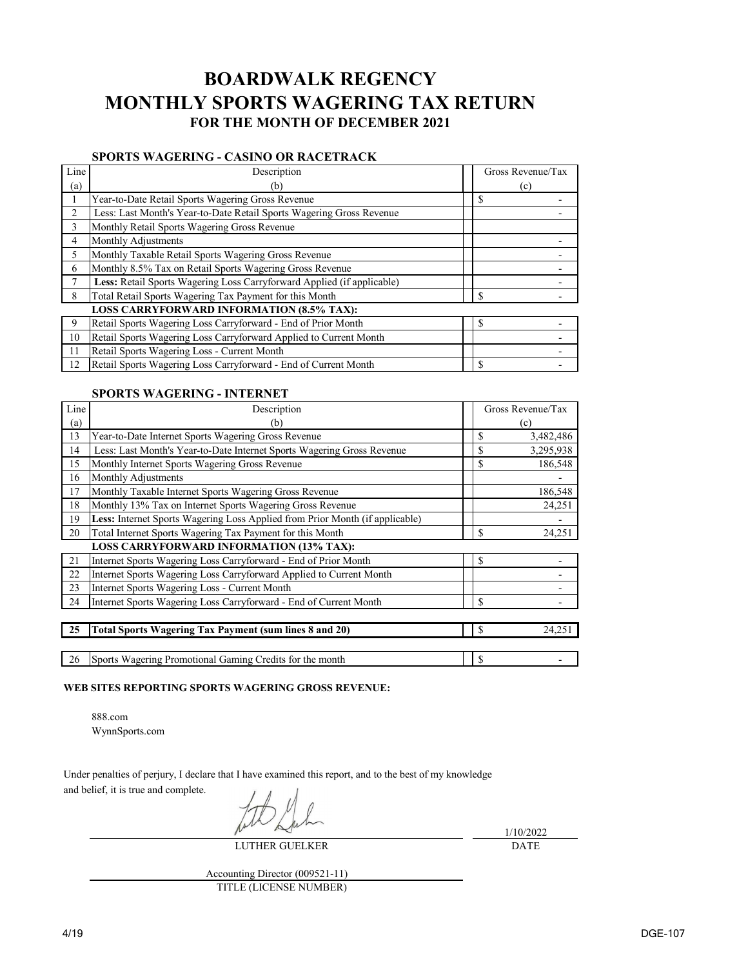## **BOARDWALK REGENCY MONTHLY SPORTS WAGERING TAX RETURN FOR THE MONTH OF DECEMBER 2021**

## **SPORTS WAGERING - CASINO OR RACETRACK**

| Line | Description                                                            | Gross Revenue/Tax |
|------|------------------------------------------------------------------------|-------------------|
| (a)  | (b)                                                                    | (c)               |
|      | Year-to-Date Retail Sports Wagering Gross Revenue                      | $\mathbb{S}$      |
| 2    | Less: Last Month's Year-to-Date Retail Sports Wagering Gross Revenue   |                   |
| 3    | Monthly Retail Sports Wagering Gross Revenue                           |                   |
| 4    | Monthly Adjustments                                                    |                   |
| 5    | Monthly Taxable Retail Sports Wagering Gross Revenue                   |                   |
| 6    | Monthly 8.5% Tax on Retail Sports Wagering Gross Revenue               |                   |
| 7    | Less: Retail Sports Wagering Loss Carryforward Applied (if applicable) |                   |
| 8    | Total Retail Sports Wagering Tax Payment for this Month                | $\mathbb{S}$      |
|      | <b>LOSS CARRYFORWARD INFORMATION (8.5% TAX):</b>                       |                   |
| 9    | Retail Sports Wagering Loss Carryforward - End of Prior Month          | \$                |
| 10   | Retail Sports Wagering Loss Carryforward Applied to Current Month      |                   |
| 11   | Retail Sports Wagering Loss - Current Month                            |                   |
| 12   | Retail Sports Wagering Loss Carryforward - End of Current Month        | <b>S</b>          |

## **SPORTS WAGERING - INTERNET**

| Line | Description                                                                  |                           | Gross Revenue/Tax |
|------|------------------------------------------------------------------------------|---------------------------|-------------------|
| (a)  | (b)                                                                          |                           | (c)               |
| 13   | Year-to-Date Internet Sports Wagering Gross Revenue                          | $\mathbb{S}$              | 3,482,486         |
| 14   | Less: Last Month's Year-to-Date Internet Sports Wagering Gross Revenue       | $\mathcal{S}$             | 3,295,938         |
| 15   | Monthly Internet Sports Wagering Gross Revenue                               | $\mathcal{S}$             | 186,548           |
| 16   | Monthly Adjustments                                                          |                           |                   |
| 17   | Monthly Taxable Internet Sports Wagering Gross Revenue                       |                           | 186,548           |
| 18   | Monthly 13% Tax on Internet Sports Wagering Gross Revenue                    |                           | 24,251            |
| 19   | Less: Internet Sports Wagering Loss Applied from Prior Month (if applicable) |                           |                   |
| 20   | Total Internet Sports Wagering Tax Payment for this Month                    | $\mathcal{S}$             | 24,251            |
|      | <b>LOSS CARRYFORWARD INFORMATION (13% TAX):</b>                              |                           |                   |
| 21   | Internet Sports Wagering Loss Carryforward - End of Prior Month              | $\boldsymbol{\mathsf{S}}$ |                   |
| 22   | Internet Sports Wagering Loss Carryforward Applied to Current Month          |                           |                   |
| 23   | Internet Sports Wagering Loss - Current Month                                |                           |                   |
| 24   | Internet Sports Wagering Loss Carryforward - End of Current Month            | $\mathcal{S}$             |                   |
|      |                                                                              |                           |                   |
| 25   | <b>Total Sports Wagering Tax Payment (sum lines 8 and 20)</b>                | $\boldsymbol{\mathsf{S}}$ | 24,251            |
|      |                                                                              |                           |                   |
| 26   | Sports Wagering Promotional Gaming Credits for the month                     | $\mathcal{S}$             |                   |

### **WEB SITES REPORTING SPORTS WAGERING GROSS REVENUE:**

888.com WynnSports.com

Under penalties of perjury, I declare that I have examined this report, and to the best of my knowledge

and belief, it is true and complete.

LUTHER GUELKER

1/10/2022 DATE

Accounting Director (009521-11) TITLE (LICENSE NUMBER)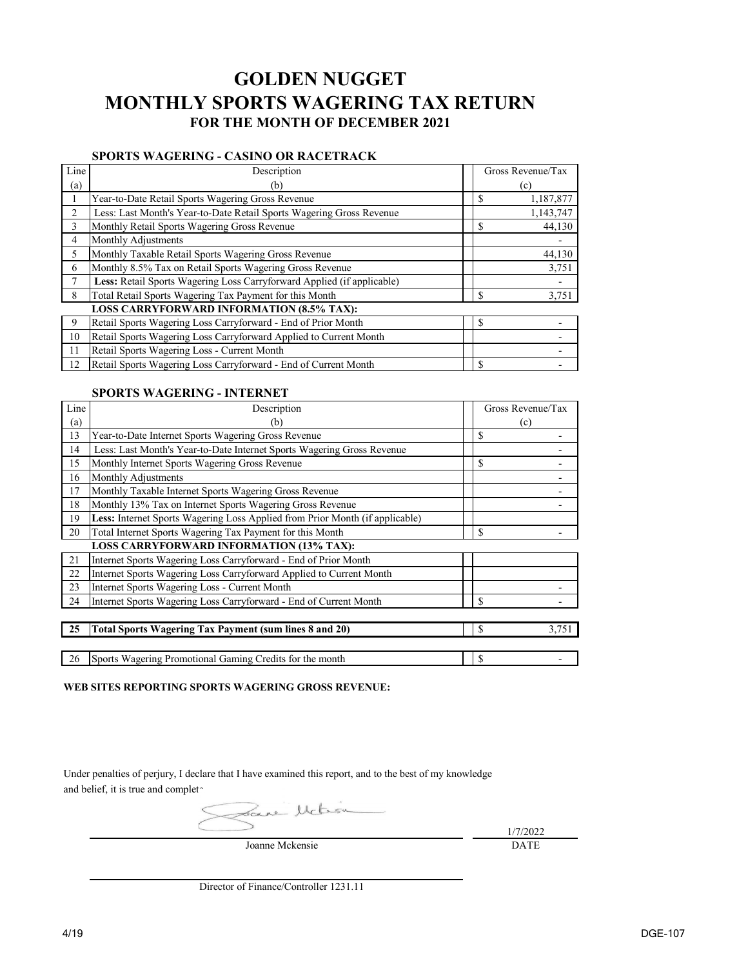## **GOLDEN NUGGET MONTHLY SPORTS WAGERING TAX RETURN FOR THE MONTH OF DECEMBER 2021**

## **SPORTS WAGERING - CASINO OR RACETRACK**

| Line | Description                                                            | Gross Revenue/Tax |
|------|------------------------------------------------------------------------|-------------------|
| (a)  | (b)                                                                    | (c)               |
|      | Year-to-Date Retail Sports Wagering Gross Revenue                      | \$<br>1,187,877   |
| 2    | Less: Last Month's Year-to-Date Retail Sports Wagering Gross Revenue   | 1,143,747         |
| 3    | Monthly Retail Sports Wagering Gross Revenue                           | \$<br>44,130      |
| 4    | Monthly Adjustments                                                    |                   |
| 5    | Monthly Taxable Retail Sports Wagering Gross Revenue                   | 44,130            |
| 6    | Monthly 8.5% Tax on Retail Sports Wagering Gross Revenue               | 3,751             |
| 7    | Less: Retail Sports Wagering Loss Carryforward Applied (if applicable) |                   |
| 8    | Total Retail Sports Wagering Tax Payment for this Month                | \$<br>3,751       |
|      | <b>LOSS CARRYFORWARD INFORMATION (8.5% TAX):</b>                       |                   |
| 9    | Retail Sports Wagering Loss Carryforward - End of Prior Month          | \$                |
| 10   | Retail Sports Wagering Loss Carryforward Applied to Current Month      |                   |
| 11   | Retail Sports Wagering Loss - Current Month                            |                   |
| 12   | Retail Sports Wagering Loss Carryforward - End of Current Month        | \$                |

### **SPORTS WAGERING - INTERNET**

| Line | Description                                                                  |               | Gross Revenue/Tax |
|------|------------------------------------------------------------------------------|---------------|-------------------|
| (a)  | (b)                                                                          |               | (c)               |
| 13   | Year-to-Date Internet Sports Wagering Gross Revenue                          | $\mathcal{S}$ |                   |
| 14   | Less: Last Month's Year-to-Date Internet Sports Wagering Gross Revenue       |               |                   |
| 15   | Monthly Internet Sports Wagering Gross Revenue                               | \$            |                   |
| 16   | Monthly Adjustments                                                          |               |                   |
| 17   | Monthly Taxable Internet Sports Wagering Gross Revenue                       |               |                   |
| 18   | Monthly 13% Tax on Internet Sports Wagering Gross Revenue                    |               |                   |
| 19   | Less: Internet Sports Wagering Loss Applied from Prior Month (if applicable) |               |                   |
| 20   | Total Internet Sports Wagering Tax Payment for this Month                    | $\mathcal{S}$ |                   |
|      | <b>LOSS CARRYFORWARD INFORMATION (13% TAX):</b>                              |               |                   |
| 21   | Internet Sports Wagering Loss Carryforward - End of Prior Month              |               |                   |
| 22   | Internet Sports Wagering Loss Carryforward Applied to Current Month          |               |                   |
| 23   | Internet Sports Wagering Loss - Current Month                                |               |                   |
| 24   | Internet Sports Wagering Loss Carryforward - End of Current Month            | $\mathcal{S}$ |                   |
|      |                                                                              |               |                   |
| 25   | <b>Total Sports Wagering Tax Payment (sum lines 8 and 20)</b>                | $\mathcal{S}$ | 3,751             |
|      |                                                                              |               |                   |
| 26   | Sports Wagering Promotional Gaming Credits for the month                     | $\mathcal{S}$ |                   |

### **WEB SITES REPORTING SPORTS WAGERING GROSS REVENUE:**

Under penalties of perjury, I declare that I have examined this report, and to the best of my knowledge and belief, it is true and complet-

Joanne Mckensie

1/7/2022 DATE

Director of Finance/Controller 1231.11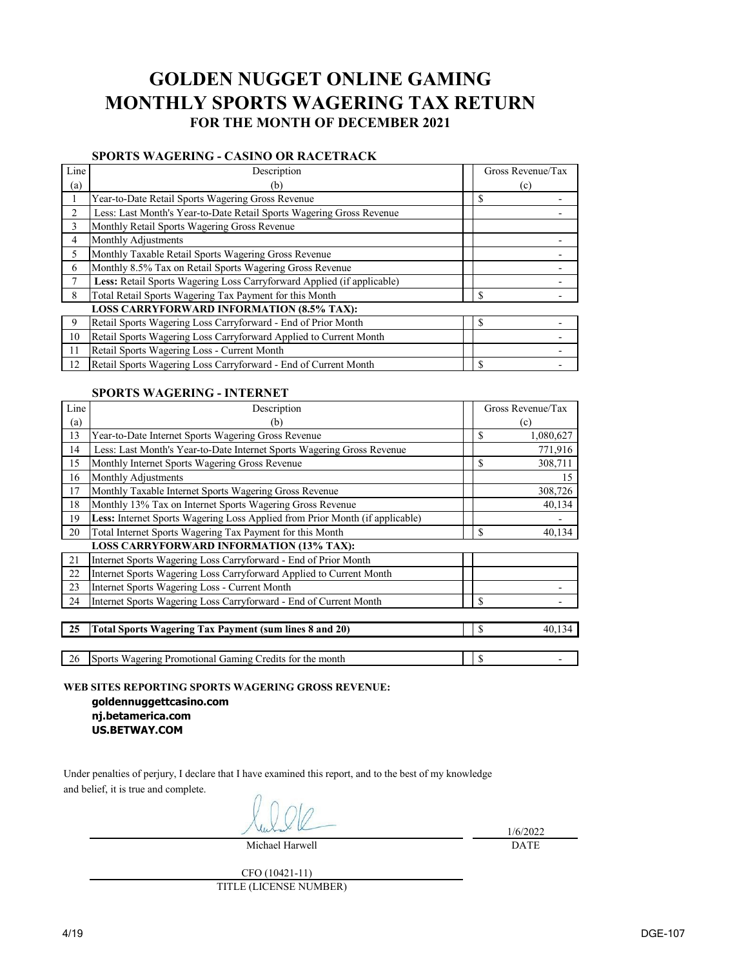## **GOLDEN NUGGET ONLINE GAMING MONTHLY SPORTS WAGERING TAX RETURN FOR THE MONTH OF DECEMBER 2021**

## **SPORTS WAGERING - CASINO OR RACETRACK**

| Line | Description                                                            | Gross Revenue/Tax |
|------|------------------------------------------------------------------------|-------------------|
| (a)  | (b)                                                                    | (c)               |
|      | Year-to-Date Retail Sports Wagering Gross Revenue                      | S                 |
| 2    | Less: Last Month's Year-to-Date Retail Sports Wagering Gross Revenue   |                   |
| 3    | Monthly Retail Sports Wagering Gross Revenue                           |                   |
| 4    | Monthly Adjustments                                                    |                   |
| 5    | Monthly Taxable Retail Sports Wagering Gross Revenue                   |                   |
| 6    | Monthly 8.5% Tax on Retail Sports Wagering Gross Revenue               |                   |
|      | Less: Retail Sports Wagering Loss Carryforward Applied (if applicable) |                   |
| 8    | Total Retail Sports Wagering Tax Payment for this Month                | <sup>\$</sup>     |
|      | <b>LOSS CARRYFORWARD INFORMATION (8.5% TAX):</b>                       |                   |
| 9    | Retail Sports Wagering Loss Carryforward - End of Prior Month          | \$                |
| 10   | Retail Sports Wagering Loss Carryforward Applied to Current Month      |                   |
| 11   | Retail Sports Wagering Loss - Current Month                            |                   |
| 12   | Retail Sports Wagering Loss Carryforward - End of Current Month        | S                 |

### **SPORTS WAGERING - INTERNET**

| Line | Description                                                                  |               | Gross Revenue/Tax |
|------|------------------------------------------------------------------------------|---------------|-------------------|
| (a)  | (b)                                                                          |               | (c)               |
| 13   | Year-to-Date Internet Sports Wagering Gross Revenue                          | $\mathcal{S}$ | 1,080,627         |
| 14   | Less: Last Month's Year-to-Date Internet Sports Wagering Gross Revenue       |               | 771,916           |
| 15   | Monthly Internet Sports Wagering Gross Revenue                               | \$            | 308,711           |
| 16   | Monthly Adjustments                                                          |               | 15                |
| 17   | Monthly Taxable Internet Sports Wagering Gross Revenue                       |               | 308,726           |
| 18   | Monthly 13% Tax on Internet Sports Wagering Gross Revenue                    |               | 40,134            |
| 19   | Less: Internet Sports Wagering Loss Applied from Prior Month (if applicable) |               |                   |
| 20   | Total Internet Sports Wagering Tax Payment for this Month                    | \$            | 40,134            |
|      | <b>LOSS CARRYFORWARD INFORMATION (13% TAX):</b>                              |               |                   |
| 21   | Internet Sports Wagering Loss Carryforward - End of Prior Month              |               |                   |
| 22   | Internet Sports Wagering Loss Carryforward Applied to Current Month          |               |                   |
| 23   | Internet Sports Wagering Loss - Current Month                                |               |                   |
| 24   | Internet Sports Wagering Loss Carryforward - End of Current Month            | $\mathcal{S}$ |                   |
|      |                                                                              |               |                   |
| 25   | <b>Total Sports Wagering Tax Payment (sum lines 8 and 20)</b>                | $\mathbb{S}$  | 40,134            |
|      |                                                                              |               |                   |
| 26   | Sports Wagering Promotional Gaming Credits for the month                     | $\mathcal{S}$ |                   |

**WEB SITES REPORTING SPORTS WAGERING GROSS REVENUE:**

**goldennuggettcasino.com nj.betamerica.com US.BETWAY.COM**

Under penalties of perjury, I declare that I have examined this report, and to the best of my knowledge and belief, it is true and complete.

Michael Harwell

1/6/2022 DATE

CFO (10421-11) TITLE (LICENSE NUMBER)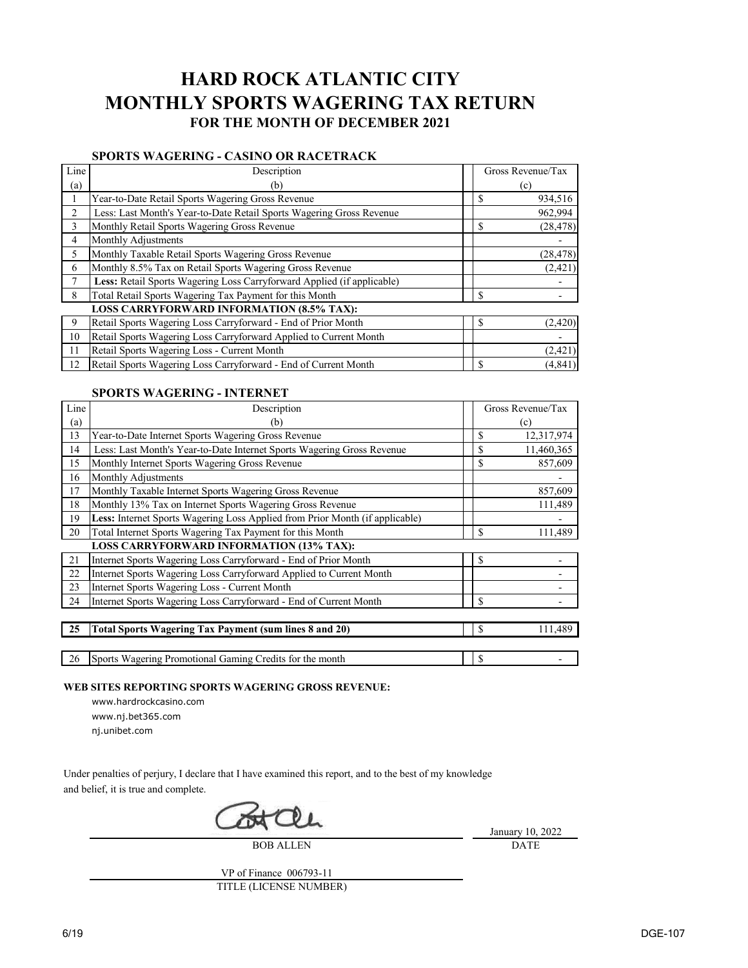# **HARD ROCK ATLANTIC CITY MONTHLY SPORTS WAGERING TAX RETURN FOR THE MONTH OF DECEMBER 2021**

## **SPORTS WAGERING - CASINO OR RACETRACK**

| Line                     | Description                                                            | Gross Revenue/Tax |  |
|--------------------------|------------------------------------------------------------------------|-------------------|--|
| $\left( \text{a}\right)$ | (b)                                                                    | (c)               |  |
|                          | Year-to-Date Retail Sports Wagering Gross Revenue                      | \$<br>934,516     |  |
| 2                        | Less: Last Month's Year-to-Date Retail Sports Wagering Gross Revenue   | 962,994           |  |
| 3                        | Monthly Retail Sports Wagering Gross Revenue                           | \$<br>(28, 478)   |  |
| 4                        | Monthly Adjustments                                                    |                   |  |
| 5                        | Monthly Taxable Retail Sports Wagering Gross Revenue                   | (28, 478)         |  |
| 6                        | Monthly 8.5% Tax on Retail Sports Wagering Gross Revenue               | (2,421)           |  |
| 7                        | Less: Retail Sports Wagering Loss Carryforward Applied (if applicable) |                   |  |
| 8                        | Total Retail Sports Wagering Tax Payment for this Month                | \$                |  |
|                          | <b>LOSS CARRYFORWARD INFORMATION (8.5% TAX):</b>                       |                   |  |
| 9                        | Retail Sports Wagering Loss Carryforward - End of Prior Month          | \$<br>(2, 420)    |  |
| 10                       | Retail Sports Wagering Loss Carryforward Applied to Current Month      |                   |  |
| 11                       | Retail Sports Wagering Loss - Current Month                            | (2,421)           |  |
| 12                       | Retail Sports Wagering Loss Carryforward - End of Current Month        | \$<br>(4, 841)    |  |

### **SPORTS WAGERING - INTERNET**

| Line | Description                                                                  |               | Gross Revenue/Tax |
|------|------------------------------------------------------------------------------|---------------|-------------------|
| (a)  | (b)                                                                          |               | (c)               |
| 13   | Year-to-Date Internet Sports Wagering Gross Revenue                          | \$            | 12,317,974        |
| 14   | Less: Last Month's Year-to-Date Internet Sports Wagering Gross Revenue       | \$            | 11,460,365        |
| 15   | Monthly Internet Sports Wagering Gross Revenue                               | \$            | 857,609           |
| 16   | Monthly Adjustments                                                          |               |                   |
| 17   | Monthly Taxable Internet Sports Wagering Gross Revenue                       |               | 857,609           |
| 18   | Monthly 13% Tax on Internet Sports Wagering Gross Revenue                    |               | 111,489           |
| 19   | Less: Internet Sports Wagering Loss Applied from Prior Month (if applicable) |               |                   |
| 20   | Total Internet Sports Wagering Tax Payment for this Month                    | \$            | 111,489           |
|      | <b>LOSS CARRYFORWARD INFORMATION (13% TAX):</b>                              |               |                   |
| 21   | Internet Sports Wagering Loss Carryforward - End of Prior Month              | \$            |                   |
| 22   | Internet Sports Wagering Loss Carryforward Applied to Current Month          |               |                   |
| 23   | Internet Sports Wagering Loss - Current Month                                |               |                   |
| 24   | Internet Sports Wagering Loss Carryforward - End of Current Month            | \$            |                   |
|      |                                                                              |               |                   |
| 25   | <b>Total Sports Wagering Tax Payment (sum lines 8 and 20)</b>                | \$            | 111,489           |
|      |                                                                              |               |                   |
| 26   | Sports Wagering Promotional Gaming Credits for the month                     | $\mathcal{S}$ |                   |

**WEB SITES REPORTING SPORTS WAGERING GROSS REVENUE:**

- www.hardrockcasino.com www.nj.bet365.com
- nj.unibet.com

Under penalties of perjury, I declare that I have examined this report, and to the best of my knowledge and belief, it is true and complete.

BOB ALLEN

January 10, 2022 DATE

VP of Finance 006793-11 TITLE (LICENSE NUMBER)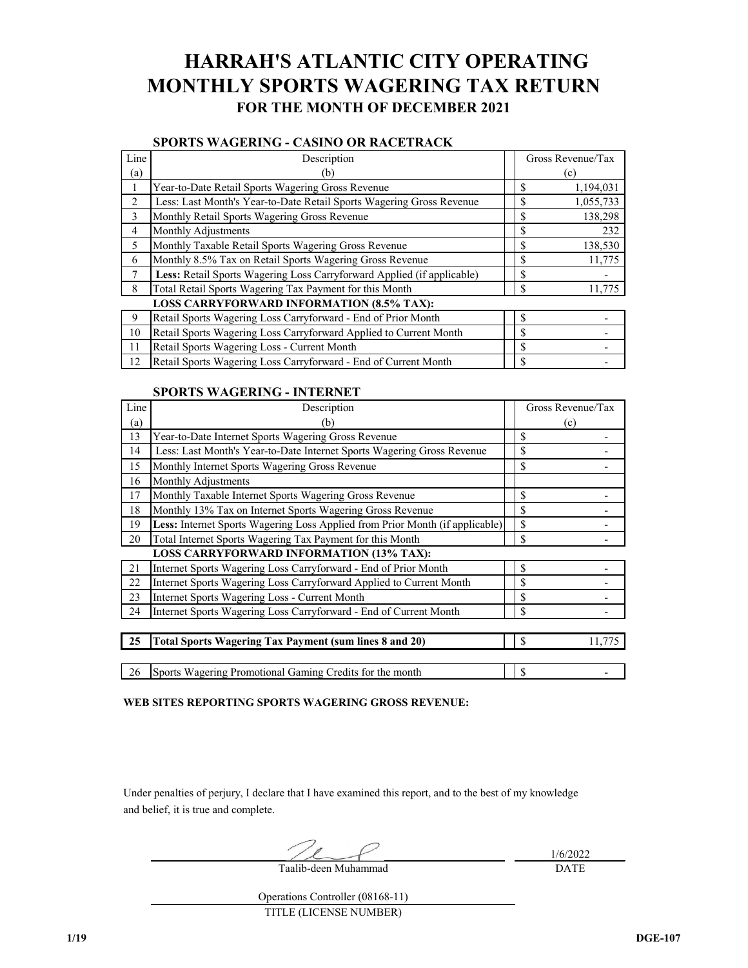# **HARRAH'S ATLANTIC CITY OPERATING MONTHLY SPORTS WAGERING TAX RETURN FOR THE MONTH OF DECEMBER 2021**

### **SPORTS WAGERING - CASINO OR RACETRACK**

| Line           | Description                                                            | Gross Revenue/Tax |           |
|----------------|------------------------------------------------------------------------|-------------------|-----------|
| (a)            | (b)                                                                    |                   | (c)       |
|                | Year-to-Date Retail Sports Wagering Gross Revenue                      | \$                | 1,194,031 |
| 2              | Less: Last Month's Year-to-Date Retail Sports Wagering Gross Revenue   | \$                | 1,055,733 |
| 3              | Monthly Retail Sports Wagering Gross Revenue                           | \$                | 138,298   |
| $\overline{4}$ | Monthly Adjustments                                                    | \$                | 232       |
| 5              | Monthly Taxable Retail Sports Wagering Gross Revenue                   | \$                | 138,530   |
| 6              | Monthly 8.5% Tax on Retail Sports Wagering Gross Revenue               | \$                | 11,775    |
| 7              | Less: Retail Sports Wagering Loss Carryforward Applied (if applicable) | \$                |           |
| 8              | Total Retail Sports Wagering Tax Payment for this Month                | \$                | 11,775    |
|                | <b>LOSS CARRYFORWARD INFORMATION (8.5% TAX):</b>                       |                   |           |
| 9              | Retail Sports Wagering Loss Carryforward - End of Prior Month          | \$                |           |
| 10             | Retail Sports Wagering Loss Carryforward Applied to Current Month      | \$                |           |
| 11             | Retail Sports Wagering Loss - Current Month                            | \$                |           |
| 12             | Retail Sports Wagering Loss Carryforward - End of Current Month        | \$                |           |

#### **SPORTS WAGERING - INTERNET**

| Line | Description                                                                  | Gross Revenue/Tax |  |
|------|------------------------------------------------------------------------------|-------------------|--|
| (a)  | (b)                                                                          | (c)               |  |
| 13   | Year-to-Date Internet Sports Wagering Gross Revenue                          | \$                |  |
| 14   | Less: Last Month's Year-to-Date Internet Sports Wagering Gross Revenue       | \$                |  |
| 15   | Monthly Internet Sports Wagering Gross Revenue                               | $\mathbb{S}$      |  |
| 16   | Monthly Adjustments                                                          |                   |  |
| 17   | Monthly Taxable Internet Sports Wagering Gross Revenue                       | \$                |  |
| 18   | Monthly 13% Tax on Internet Sports Wagering Gross Revenue                    | $\mathcal{S}$     |  |
| 19   | Less: Internet Sports Wagering Loss Applied from Prior Month (if applicable) | \$                |  |
| 20   | Total Internet Sports Wagering Tax Payment for this Month                    | $\mathbb{S}$      |  |
|      | <b>LOSS CARRYFORWARD INFORMATION (13% TAX):</b>                              |                   |  |
| 21   | Internet Sports Wagering Loss Carryforward - End of Prior Month              | $\mathbb{S}$      |  |
| 22   | Internet Sports Wagering Loss Carryforward Applied to Current Month          | $\mathbb{S}$      |  |
| 23   | Internet Sports Wagering Loss - Current Month                                | $\mathbb{S}$      |  |
| 24   | Internet Sports Wagering Loss Carryforward - End of Current Month            | $\mathbb{S}$      |  |
|      |                                                                              |                   |  |
| 25   | <b>Total Sports Wagering Tax Payment (sum lines 8 and 20)</b>                | S<br>11,775       |  |
|      |                                                                              |                   |  |
| 26   | Sports Wagering Promotional Gaming Credits for the month                     | $\mathbb{S}$      |  |

**WEB SITES REPORTING SPORTS WAGERING GROSS REVENUE:**

Under penalties of perjury, I declare that I have examined this report, and to the best of my knowledge and belief, it is true and complete.

DATE Taalib-deen Muhammad

1/6/2022

Operations Controller (08168-11)

TITLE (LICENSE NUMBER)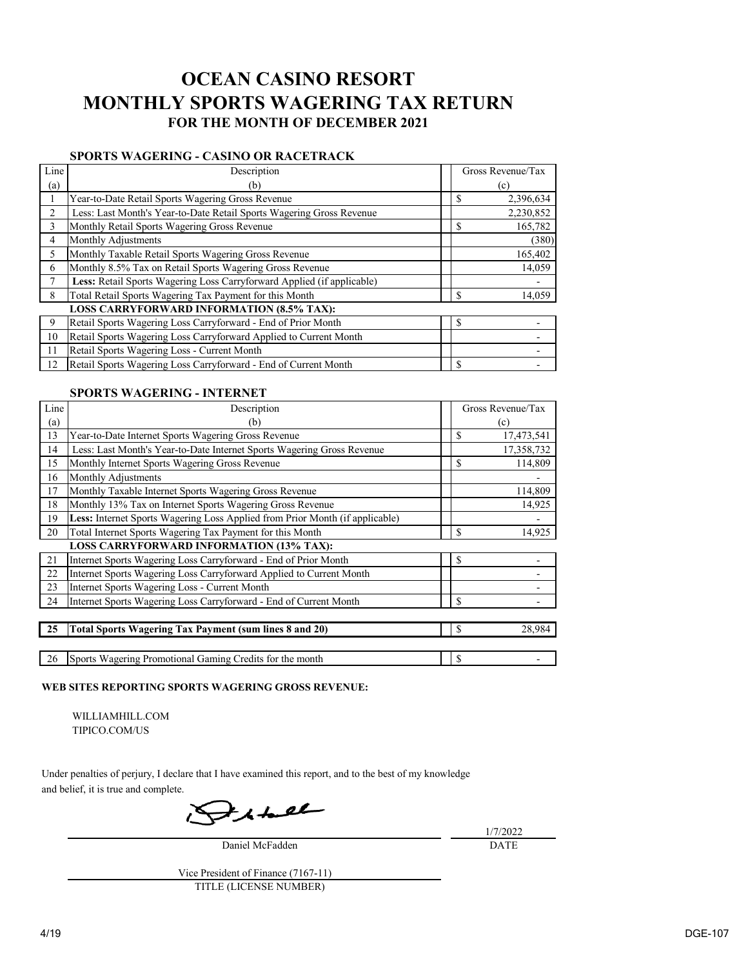# **OCEAN CASINO RESORT MONTHLY SPORTS WAGERING TAX RETURN FOR THE MONTH OF DECEMBER 2021**

## **SPORTS WAGERING - CASINO OR RACETRACK**

| Line | Description                                                            | Gross Revenue/Tax |
|------|------------------------------------------------------------------------|-------------------|
| (a)  | (b)                                                                    | (c)               |
|      | Year-to-Date Retail Sports Wagering Gross Revenue                      | \$<br>2,396,634   |
| 2    | Less: Last Month's Year-to-Date Retail Sports Wagering Gross Revenue   | 2,230,852         |
| 3    | Monthly Retail Sports Wagering Gross Revenue                           | \$<br>165,782     |
| 4    | Monthly Adjustments                                                    | (380)             |
| 5    | Monthly Taxable Retail Sports Wagering Gross Revenue                   | 165,402           |
| 6    | Monthly 8.5% Tax on Retail Sports Wagering Gross Revenue               | 14,059            |
| 7    | Less: Retail Sports Wagering Loss Carryforward Applied (if applicable) |                   |
| 8    | Total Retail Sports Wagering Tax Payment for this Month                | \$<br>14,059      |
|      | <b>LOSS CARRYFORWARD INFORMATION (8.5% TAX):</b>                       |                   |
| 9    | Retail Sports Wagering Loss Carryforward - End of Prior Month          | \$                |
| 10   | Retail Sports Wagering Loss Carryforward Applied to Current Month      |                   |
| 11   | Retail Sports Wagering Loss - Current Month                            |                   |
| 12   | Retail Sports Wagering Loss Carryforward - End of Current Month        | \$                |

### **SPORTS WAGERING - INTERNET**

| Line | Description                                                                  |               | Gross Revenue/Tax |
|------|------------------------------------------------------------------------------|---------------|-------------------|
| (a)  | b)                                                                           |               | $(\rm c)$         |
| 13   | Year-to-Date Internet Sports Wagering Gross Revenue                          | $\mathcal{S}$ | 17,473,541        |
| 14   | Less: Last Month's Year-to-Date Internet Sports Wagering Gross Revenue       |               | 17,358,732        |
| 15   | Monthly Internet Sports Wagering Gross Revenue                               | $\mathbb{S}$  | 114,809           |
| 16   | Monthly Adjustments                                                          |               |                   |
| 17   | Monthly Taxable Internet Sports Wagering Gross Revenue                       |               | 114,809           |
| 18   | Monthly 13% Tax on Internet Sports Wagering Gross Revenue                    |               | 14,925            |
| 19   | Less: Internet Sports Wagering Loss Applied from Prior Month (if applicable) |               |                   |
| 20   | Total Internet Sports Wagering Tax Payment for this Month                    | $\mathcal{S}$ | 14,925            |
|      | <b>LOSS CARRYFORWARD INFORMATION (13% TAX):</b>                              |               |                   |
| 21   | Internet Sports Wagering Loss Carryforward - End of Prior Month              | $\mathcal{S}$ |                   |
| 22   | Internet Sports Wagering Loss Carryforward Applied to Current Month          |               |                   |
| 23   | Internet Sports Wagering Loss - Current Month                                |               |                   |
| 24   | Internet Sports Wagering Loss Carryforward - End of Current Month            | $\mathcal{S}$ |                   |
|      |                                                                              |               |                   |
| 25   | <b>Total Sports Wagering Tax Payment (sum lines 8 and 20)</b>                | $\mathbb{S}$  | 28,984            |
|      |                                                                              |               |                   |
| 26   | Sports Wagering Promotional Gaming Credits for the month                     | $\mathcal{S}$ |                   |

#### **WEB SITES REPORTING SPORTS WAGERING GROSS REVENUE:**

 WILLIAMHILL.COM TIPICO.COM/US

Under penalties of perjury, I declare that I have examined this report, and to the best of my knowledge and belief, it is true and complete.

 $7$  shell

Daniel McFadden

1/7/2022 DATE

Vice President of Finance (7167-11) TITLE (LICENSE NUMBER)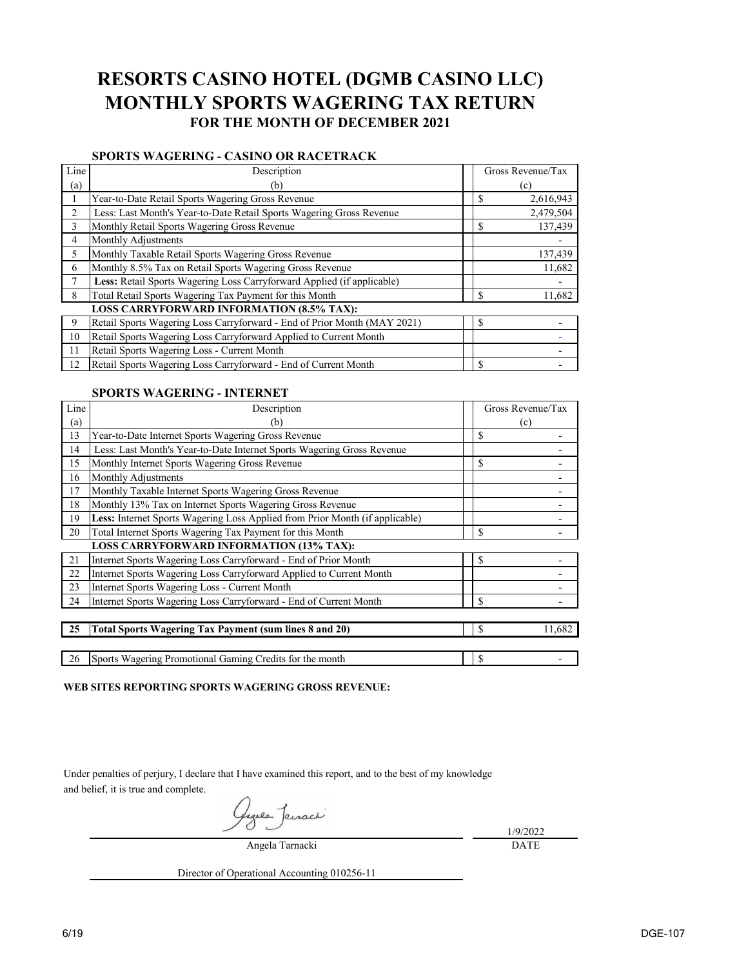## **RESORTS CASINO HOTEL (DGMB CASINO LLC) MONTHLY SPORTS WAGERING TAX RETURN FOR THE MONTH OF DECEMBER 2021**

## **SPORTS WAGERING - CASINO OR RACETRACK**

| Line           | Description                                                              | Gross Revenue/Tax       |
|----------------|--------------------------------------------------------------------------|-------------------------|
| (a)            | (b)                                                                      | $(\rm c)$               |
|                | Year-to-Date Retail Sports Wagering Gross Revenue                        | \$<br>2,616,943         |
| 2              | Less: Last Month's Year-to-Date Retail Sports Wagering Gross Revenue     | 2,479,504               |
| $\overline{3}$ | Monthly Retail Sports Wagering Gross Revenue                             | 137,439<br>\$           |
| 4              | Monthly Adjustments                                                      |                         |
| 5              | Monthly Taxable Retail Sports Wagering Gross Revenue                     | 137,439                 |
| 6              | Monthly 8.5% Tax on Retail Sports Wagering Gross Revenue                 | 11,682                  |
| 7              | Less: Retail Sports Wagering Loss Carryforward Applied (if applicable)   |                         |
| 8              | Total Retail Sports Wagering Tax Payment for this Month                  | $\mathcal{S}$<br>11,682 |
|                | <b>LOSS CARRYFORWARD INFORMATION (8.5% TAX):</b>                         |                         |
| 9              | Retail Sports Wagering Loss Carryforward - End of Prior Month (MAY 2021) | \$                      |
| 10             | Retail Sports Wagering Loss Carryforward Applied to Current Month        |                         |
| 11             | Retail Sports Wagering Loss - Current Month                              |                         |
| 12             | Retail Sports Wagering Loss Carryforward - End of Current Month          | \$                      |

### **SPORTS WAGERING - INTERNET**

| Line | Description                                                                  |               | Gross Revenue/Tax |
|------|------------------------------------------------------------------------------|---------------|-------------------|
| (a)  | (b)                                                                          |               | (c)               |
| 13   | Year-to-Date Internet Sports Wagering Gross Revenue                          | $\mathcal{S}$ |                   |
| 14   | Less: Last Month's Year-to-Date Internet Sports Wagering Gross Revenue       |               |                   |
| 15   | Monthly Internet Sports Wagering Gross Revenue                               | \$            |                   |
| 16   | Monthly Adjustments                                                          |               |                   |
| 17   | Monthly Taxable Internet Sports Wagering Gross Revenue                       |               |                   |
| 18   | Monthly 13% Tax on Internet Sports Wagering Gross Revenue                    |               |                   |
| 19   | Less: Internet Sports Wagering Loss Applied from Prior Month (if applicable) |               |                   |
| 20   | Total Internet Sports Wagering Tax Payment for this Month                    | \$            |                   |
|      | <b>LOSS CARRYFORWARD INFORMATION (13% TAX):</b>                              |               |                   |
| 21   | Internet Sports Wagering Loss Carryforward - End of Prior Month              | $\mathbf S$   |                   |
| 22   | Internet Sports Wagering Loss Carryforward Applied to Current Month          |               |                   |
| 23   | Internet Sports Wagering Loss - Current Month                                |               |                   |
| 24   | Internet Sports Wagering Loss Carryforward - End of Current Month            | $\mathbf S$   |                   |
|      |                                                                              |               |                   |
| 25   | <b>Total Sports Wagering Tax Payment (sum lines 8 and 20)</b>                | $\mathbb{S}$  | 11,682            |
|      |                                                                              |               |                   |
| 26   | Sports Wagering Promotional Gaming Credits for the month                     | $\mathcal{S}$ |                   |

**WEB SITES REPORTING SPORTS WAGERING GROSS REVENUE:**

Under penalties of perjury, I declare that I have examined this report, and to the best of my knowledge and belief, it is true and complete.

Angela Tarnacki

1/9/2022 DATE

Director of Operational Accounting 010256-11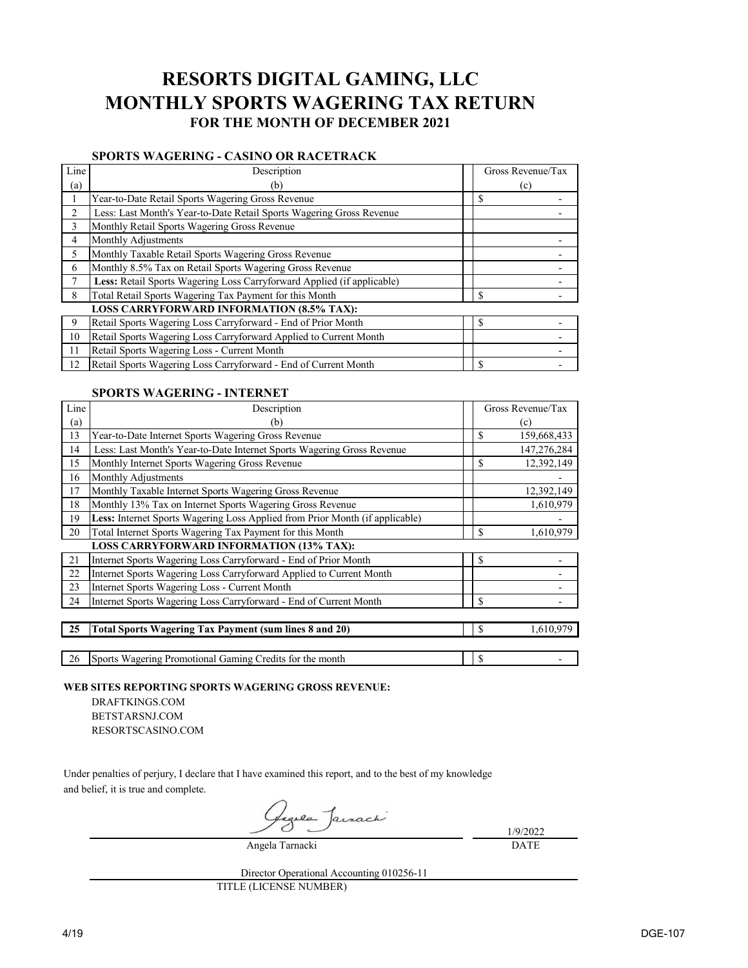## **RESORTS DIGITAL GAMING, LLC MONTHLY SPORTS WAGERING TAX RETURN FOR THE MONTH OF DECEMBER 2021**

## **SPORTS WAGERING - CASINO OR RACETRACK**

| Line | Description                                                            | Gross Revenue/Tax |
|------|------------------------------------------------------------------------|-------------------|
| (a)  | (b)                                                                    | (c)               |
|      | Year-to-Date Retail Sports Wagering Gross Revenue                      | S                 |
|      | Less: Last Month's Year-to-Date Retail Sports Wagering Gross Revenue   |                   |
| 3    | Monthly Retail Sports Wagering Gross Revenue                           |                   |
| 4    | Monthly Adjustments                                                    |                   |
| 5    | Monthly Taxable Retail Sports Wagering Gross Revenue                   |                   |
| 6    | Monthly 8.5% Tax on Retail Sports Wagering Gross Revenue               |                   |
| 7    | Less: Retail Sports Wagering Loss Carryforward Applied (if applicable) |                   |
| 8    | Total Retail Sports Wagering Tax Payment for this Month                | S                 |
|      | <b>LOSS CARRYFORWARD INFORMATION (8.5% TAX):</b>                       |                   |
| 9    | Retail Sports Wagering Loss Carryforward - End of Prior Month          | \$                |
| 10   | Retail Sports Wagering Loss Carryforward Applied to Current Month      |                   |
| 11   | Retail Sports Wagering Loss - Current Month                            |                   |
| 12   | Retail Sports Wagering Loss Carryforward - End of Current Month        | \$                |

### **SPORTS WAGERING - INTERNET**

| Line | Description                                                                  |               | Gross Revenue/Tax |
|------|------------------------------------------------------------------------------|---------------|-------------------|
| (a)  | (b)                                                                          |               | (c)               |
| 13   | Year-to-Date Internet Sports Wagering Gross Revenue                          | \$            | 159,668,433       |
| 14   | Less: Last Month's Year-to-Date Internet Sports Wagering Gross Revenue       |               | 147,276,284       |
| 15   | Monthly Internet Sports Wagering Gross Revenue                               | \$            | 12,392,149        |
| 16   | Monthly Adjustments                                                          |               |                   |
| 17   | Monthly Taxable Internet Sports Wagering Gross Revenue                       |               | 12,392,149        |
| 18   | Monthly 13% Tax on Internet Sports Wagering Gross Revenue                    |               | 1,610,979         |
| 19   | Less: Internet Sports Wagering Loss Applied from Prior Month (if applicable) |               |                   |
| 20   | Total Internet Sports Wagering Tax Payment for this Month                    | $\mathbb{S}$  | 1,610,979         |
|      | <b>LOSS CARRYFORWARD INFORMATION (13% TAX):</b>                              |               |                   |
| 21   | Internet Sports Wagering Loss Carryforward - End of Prior Month              | $\mathbb{S}$  |                   |
| 22   | Internet Sports Wagering Loss Carryforward Applied to Current Month          |               |                   |
| 23   | Internet Sports Wagering Loss - Current Month                                |               |                   |
| 24   | Internet Sports Wagering Loss Carryforward - End of Current Month            | $\mathcal{S}$ |                   |
|      |                                                                              |               |                   |
| 25   | <b>Total Sports Wagering Tax Payment (sum lines 8 and 20)</b>                | <sup>\$</sup> | 1,610,979         |
|      |                                                                              |               |                   |

26 Sports Wagering Promotional Gaming Credits for the month  $\frac{1}{8}$ 

**WEB SITES REPORTING SPORTS WAGERING GROSS REVENUE:**

DRAFTKINGS.COM BETSTARSNJ.COM RESORTSCASINO.COM

Under penalties of perjury, I declare that I have examined this report, and to the best of my knowledge and belief, it is true and complete.

Angela Tarnacki

1/9/2022 DATE

TITLE (LICENSE NUMBER) Director Operational Accounting 010256-11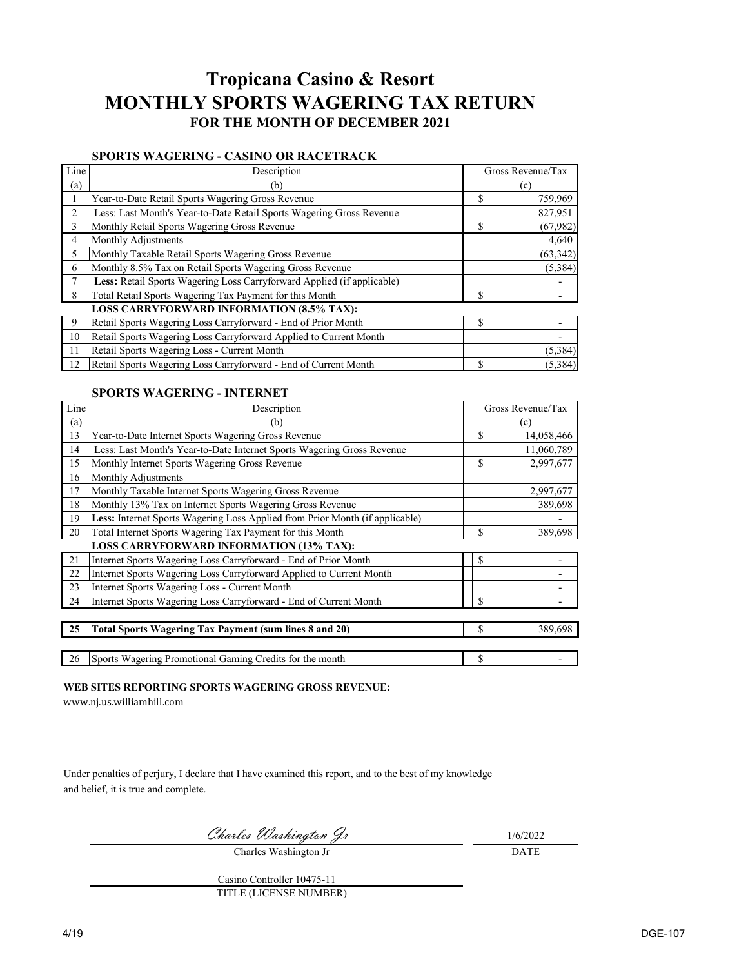# **Tropicana Casino & Resort MONTHLY SPORTS WAGERING TAX RETURN FOR THE MONTH OF DECEMBER 2021**

## **SPORTS WAGERING - CASINO OR RACETRACK**

| Line | Description                                                            | Gross Revenue/Tax |
|------|------------------------------------------------------------------------|-------------------|
| (a)  | (b)                                                                    | (c)               |
|      | Year-to-Date Retail Sports Wagering Gross Revenue                      | \$<br>759,969     |
| 2    | Less: Last Month's Year-to-Date Retail Sports Wagering Gross Revenue   | 827,951           |
| 3    | Monthly Retail Sports Wagering Gross Revenue                           | \$<br>(67, 982)   |
| 4    | Monthly Adjustments                                                    | 4,640             |
| 5    | Monthly Taxable Retail Sports Wagering Gross Revenue                   | (63, 342)         |
| 6    | Monthly 8.5% Tax on Retail Sports Wagering Gross Revenue               | (5, 384)          |
| 7    | Less: Retail Sports Wagering Loss Carryforward Applied (if applicable) |                   |
| 8    | Total Retail Sports Wagering Tax Payment for this Month                | \$                |
|      | <b>LOSS CARRYFORWARD INFORMATION (8.5% TAX):</b>                       |                   |
| 9    | Retail Sports Wagering Loss Carryforward - End of Prior Month          | \$                |
| 10   | Retail Sports Wagering Loss Carryforward Applied to Current Month      |                   |
| 11   | Retail Sports Wagering Loss - Current Month                            | (5,384)           |
| 12   | Retail Sports Wagering Loss Carryforward - End of Current Month        | \$<br>(5,384)     |

## **SPORTS WAGERING - INTERNET**

| Line                     | Description                                                                  |               | Gross Revenue/Tax |
|--------------------------|------------------------------------------------------------------------------|---------------|-------------------|
| $\left( \text{a}\right)$ | (b)                                                                          |               | (c)               |
| 13                       | Year-to-Date Internet Sports Wagering Gross Revenue                          | $\mathcal{S}$ | 14,058,466        |
| 14                       | Less: Last Month's Year-to-Date Internet Sports Wagering Gross Revenue       |               | 11,060,789        |
| 15                       | Monthly Internet Sports Wagering Gross Revenue                               | $\mathbb{S}$  | 2,997,677         |
| 16                       | Monthly Adjustments                                                          |               |                   |
| 17                       | Monthly Taxable Internet Sports Wagering Gross Revenue                       |               | 2,997,677         |
| 18                       | Monthly 13% Tax on Internet Sports Wagering Gross Revenue                    |               | 389,698           |
| 19                       | Less: Internet Sports Wagering Loss Applied from Prior Month (if applicable) |               |                   |
| 20                       | Total Internet Sports Wagering Tax Payment for this Month                    | \$            | 389,698           |
|                          | <b>LOSS CARRYFORWARD INFORMATION (13% TAX):</b>                              |               |                   |
| 21                       | Internet Sports Wagering Loss Carryforward - End of Prior Month              | \$            |                   |
| 22                       | Internet Sports Wagering Loss Carryforward Applied to Current Month          |               |                   |
| 23                       | Internet Sports Wagering Loss - Current Month                                |               |                   |
| 24                       | Internet Sports Wagering Loss Carryforward - End of Current Month            | $\mathcal{S}$ |                   |
|                          |                                                                              |               |                   |
| 25                       | <b>Total Sports Wagering Tax Payment (sum lines 8 and 20)</b>                | $\mathcal{S}$ | 389,698           |
|                          |                                                                              |               |                   |
| 26                       | Sports Wagering Promotional Gaming Credits for the month                     | $\mathcal{S}$ |                   |

## **WEB SITES REPORTING SPORTS WAGERING GROSS REVENUE:**

[www.nj.us.williamhill.com](http://www.nj.us.williamhill.com/)

Under penalties of perjury, I declare that I have examined this report, and to the best of my knowledge and belief, it is true and complete.

Charles Washington Jr 1/6/2022

DATE

Charles Washington Jr

Casino Controller 10475-11 TITLE (LICENSE NUMBER)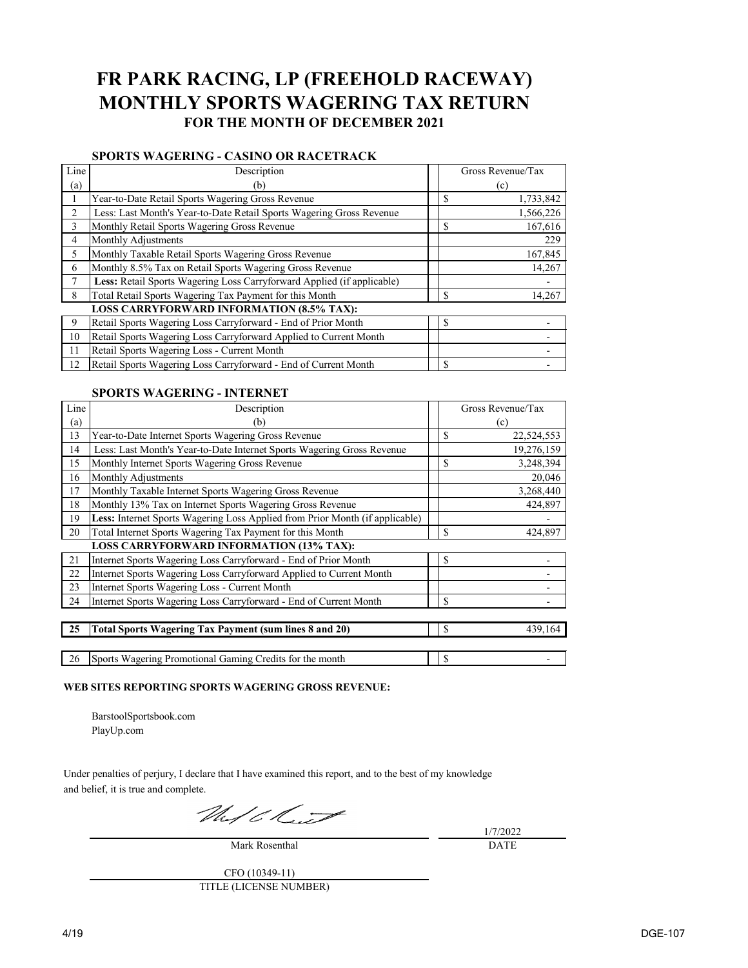## **FR PARK RACING, LP (FREEHOLD RACEWAY) MONTHLY SPORTS WAGERING TAX RETURN FOR THE MONTH OF DECEMBER 2021**

### **SPORTS WAGERING - CASINO OR RACETRACK**

| Line | Description                                                            | Gross Revenue/Tax |
|------|------------------------------------------------------------------------|-------------------|
| (a)  | (b)                                                                    | (c)               |
|      | Year-to-Date Retail Sports Wagering Gross Revenue                      | 1,733,842         |
| 2    | Less: Last Month's Year-to-Date Retail Sports Wagering Gross Revenue   | 1,566,226         |
| 3    | Monthly Retail Sports Wagering Gross Revenue                           | \$<br>167,616     |
| 4    | Monthly Adjustments                                                    | 229               |
| 5    | Monthly Taxable Retail Sports Wagering Gross Revenue                   | 167,845           |
| 6    | Monthly 8.5% Tax on Retail Sports Wagering Gross Revenue               | 14,267            |
| 7    | Less: Retail Sports Wagering Loss Carryforward Applied (if applicable) |                   |
| 8    | Total Retail Sports Wagering Tax Payment for this Month                | \$<br>14,267      |
|      | <b>LOSS CARRYFORWARD INFORMATION (8.5% TAX):</b>                       |                   |
| 9    | Retail Sports Wagering Loss Carryforward - End of Prior Month          | \$                |
| 10   | Retail Sports Wagering Loss Carryforward Applied to Current Month      |                   |
| 11   | Retail Sports Wagering Loss - Current Month                            |                   |
| 12   | Retail Sports Wagering Loss Carryforward - End of Current Month        |                   |

### **SPORTS WAGERING - INTERNET**

| Line | Description                                                                  | Gross Revenue/Tax |
|------|------------------------------------------------------------------------------|-------------------|
| (a)  | (b)                                                                          | (c)               |
| 13   | Year-to-Date Internet Sports Wagering Gross Revenue                          | \$<br>22,524,553  |
| 14   | Less: Last Month's Year-to-Date Internet Sports Wagering Gross Revenue       | 19,276,159        |
| 15   | Monthly Internet Sports Wagering Gross Revenue                               | \$<br>3,248,394   |
| 16   | Monthly Adjustments                                                          | 20,046            |
| 17   | Monthly Taxable Internet Sports Wagering Gross Revenue                       | 3,268,440         |
| 18   | Monthly 13% Tax on Internet Sports Wagering Gross Revenue                    | 424,897           |
| 19   | Less: Internet Sports Wagering Loss Applied from Prior Month (if applicable) |                   |
| 20   | Total Internet Sports Wagering Tax Payment for this Month                    | \$<br>424,897     |
|      | <b>LOSS CARRYFORWARD INFORMATION (13% TAX):</b>                              |                   |
| 21   | Internet Sports Wagering Loss Carryforward - End of Prior Month              | \$                |
| 22   | Internet Sports Wagering Loss Carryforward Applied to Current Month          |                   |
| 23   | <b>Internet Sports Wagering Loss - Current Month</b>                         |                   |
| 24   | Internet Sports Wagering Loss Carryforward - End of Current Month            | \$                |
|      |                                                                              |                   |
| 25   | <b>Total Sports Wagering Tax Payment (sum lines 8 and 20)</b>                | \$<br>439,164     |
|      |                                                                              |                   |

26 Sports Wagering Promotional Gaming Credits for the month \$ -

### **WEB SITES REPORTING SPORTS WAGERING GROSS REVENUE:**

BarstoolSportsbook.com PlayUp.com

Under penalties of perjury, I declare that I have examined this report, and to the best of my knowledge and belief, it is true and complete.

Mujek.

Mark Rosenthal

1/7/2022 DATE

CFO (10349-11) TITLE (LICENSE NUMBER)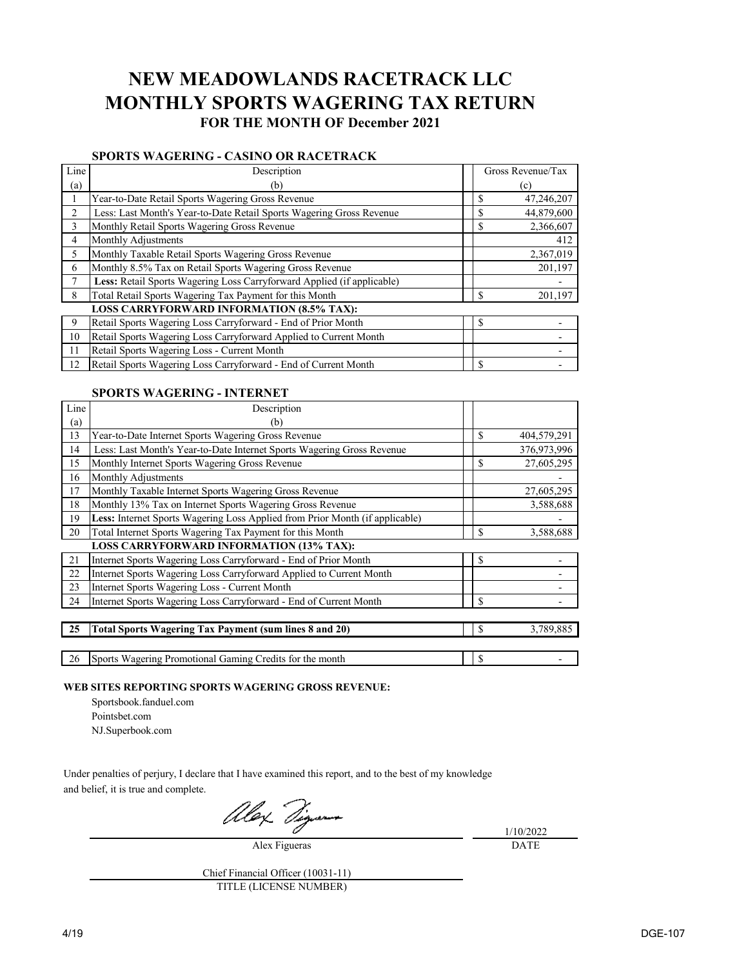## **NEW MEADOWLANDS RACETRACK LLC MONTHLY SPORTS WAGERING TAX RETURN FOR THE MONTH OF December 2021**

### **SPORTS WAGERING - CASINO OR RACETRACK**

| Line | Description                                                            | Gross Revenue/Tax          |
|------|------------------------------------------------------------------------|----------------------------|
| (a)  | (b)                                                                    | (c)                        |
|      | Year-to-Date Retail Sports Wagering Gross Revenue                      | \$<br>47,246,207           |
| 2    | Less: Last Month's Year-to-Date Retail Sports Wagering Gross Revenue   | 44,879,600<br>S            |
| 3    | Monthly Retail Sports Wagering Gross Revenue                           | $\mathcal{S}$<br>2,366,607 |
| 4    | Monthly Adjustments                                                    | 412                        |
| 5    | Monthly Taxable Retail Sports Wagering Gross Revenue                   | 2,367,019                  |
| 6    | Monthly 8.5% Tax on Retail Sports Wagering Gross Revenue               | 201,197                    |
| 7    | Less: Retail Sports Wagering Loss Carryforward Applied (if applicable) |                            |
| 8    | Total Retail Sports Wagering Tax Payment for this Month                | $\mathcal{S}$<br>201,197   |
|      | <b>LOSS CARRYFORWARD INFORMATION (8.5% TAX):</b>                       |                            |
| 9    | Retail Sports Wagering Loss Carryforward - End of Prior Month          | \$                         |
| 10   | Retail Sports Wagering Loss Carryforward Applied to Current Month      |                            |
| 11   | Retail Sports Wagering Loss - Current Month                            |                            |
| 12   | Retail Sports Wagering Loss Carryforward - End of Current Month        | \$                         |

### **SPORTS WAGERING - INTERNET**

| Line | Description                                                                  |               |             |
|------|------------------------------------------------------------------------------|---------------|-------------|
| (a)  | (b)                                                                          |               |             |
| 13   | Year-to-Date Internet Sports Wagering Gross Revenue                          | $\mathcal{S}$ | 404,579,291 |
| 14   | Less: Last Month's Year-to-Date Internet Sports Wagering Gross Revenue       |               | 376,973,996 |
| 15   | Monthly Internet Sports Wagering Gross Revenue                               | \$            | 27,605,295  |
| 16   | Monthly Adjustments                                                          |               |             |
| 17   | Monthly Taxable Internet Sports Wagering Gross Revenue                       |               | 27,605,295  |
| 18   | Monthly 13% Tax on Internet Sports Wagering Gross Revenue                    |               | 3,588,688   |
| 19   | Less: Internet Sports Wagering Loss Applied from Prior Month (if applicable) |               |             |
| 20   | Total Internet Sports Wagering Tax Payment for this Month                    | \$            | 3,588,688   |
|      | <b>LOSS CARRYFORWARD INFORMATION (13% TAX):</b>                              |               |             |
| 21   | Internet Sports Wagering Loss Carryforward - End of Prior Month              | \$            |             |
| 22   | Internet Sports Wagering Loss Carryforward Applied to Current Month          |               |             |
| 23   | Internet Sports Wagering Loss - Current Month                                |               |             |
| 24   | Internet Sports Wagering Loss Carryforward - End of Current Month            | $\mathbb{S}$  |             |
|      |                                                                              |               |             |
| 25   | Total Sports Wagering Tax Payment (sum lines 8 and 20)                       | $\mathbb{S}$  | 3,789,885   |
|      |                                                                              |               |             |
| 26   | Sports Wagering Promotional Gaming Credits for the month                     | \$            |             |

**WEB SITES REPORTING SPORTS WAGERING GROSS REVENUE:**

- Sportsbook.fanduel.com
- Pointsbet.com
- NJ.Superbook.com

Under penalties of perjury, I declare that I have examined this report, and to the best of my knowledge and belief, it is true and complete.

Alex Dig

Alex Figueras

1/10/2022 DATE

Chief Financial Officer (10031-11) TITLE (LICENSE NUMBER)